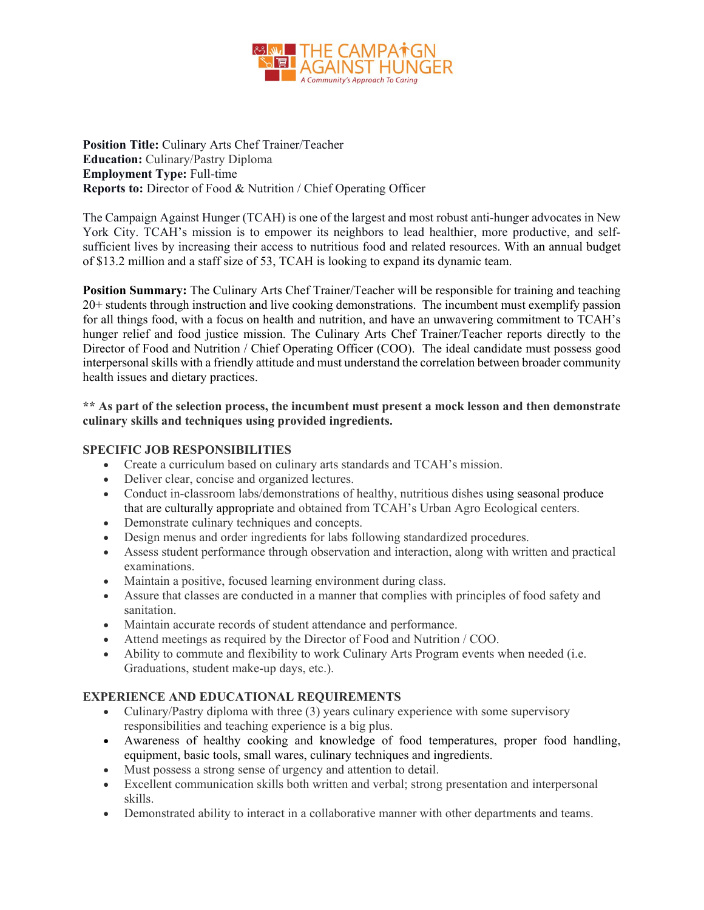

**Position Title:** Culinary Arts Chef Trainer/Teacher **Education:** Culinary/Pastry Diploma **Employment Type:** Full-time **Reports to:** Director of Food & Nutrition / Chief Operating Officer

The Campaign Against Hunger (TCAH) is one of the largest and most robust anti-hunger advocates in New York City. TCAH's mission is to empower its neighbors to lead healthier, more productive, and selfsufficient lives by increasing their access to nutritious food and related resources. With an annual budget of \$13.2 million and a staff size of 53, TCAH is looking to expand its dynamic team.

**Position Summary:** The Culinary Arts Chef Trainer/Teacher will be responsible for training and teaching 20+ students through instruction and live cooking demonstrations. The incumbent must exemplify passion for all things food, with a focus on health and nutrition, and have an unwavering commitment to TCAH's hunger relief and food justice mission. The Culinary Arts Chef Trainer/Teacher reports directly to the Director of Food and Nutrition / Chief Operating Officer (COO). The ideal candidate must possess good interpersonal skills with a friendly attitude and must understand the correlation between broader community health issues and dietary practices.

**\*\* As part of the selection process, the incumbent must present a mock lesson and then demonstrate culinary skills and techniques using provided ingredients.** 

## **SPECIFIC JOB RESPONSIBILITIES**

- Create a curriculum based on culinary arts standards and TCAH's mission.
- Deliver clear, concise and organized lectures.
- Conduct in-classroom labs/demonstrations of healthy, nutritious dishes using seasonal produce that are culturally appropriate and obtained from TCAH's Urban Agro Ecological centers.
- Demonstrate culinary techniques and concepts.
- Design menus and order ingredients for labs following standardized procedures.
- Assess student performance through observation and interaction, along with written and practical examinations.
- Maintain a positive, focused learning environment during class.
- Assure that classes are conducted in a manner that complies with principles of food safety and sanitation.
- Maintain accurate records of student attendance and performance.
- Attend meetings as required by the Director of Food and Nutrition / COO.
- Ability to commute and flexibility to work Culinary Arts Program events when needed (i.e. Graduations, student make-up days, etc.).

## **EXPERIENCE AND EDUCATIONAL REQUIREMENTS**

- Culinary/Pastry diploma with three (3) years culinary experience with some supervisory responsibilities and teaching experience is a big plus.
- Awareness of healthy cooking and knowledge of food temperatures, proper food handling, equipment, basic tools, small wares, culinary techniques and ingredients.
- Must possess a strong sense of urgency and attention to detail.
- Excellent communication skills both written and verbal; strong presentation and interpersonal skills.
- Demonstrated ability to interact in a collaborative manner with other departments and teams.